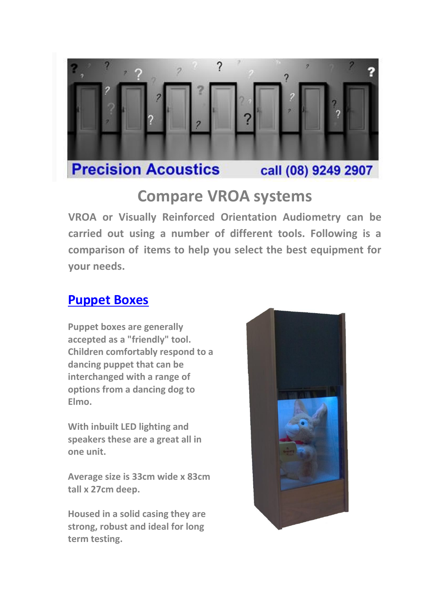

### **Compare VROA systems**

**VROA or Visually Reinforced Orientation Audiometry can be carried out using a number of different tools. Following is a comparison of items to help you select the best equipment for your needs.**

#### **[Puppet Boxes](http://www.precision-acoustics.com.au/equipment/vra-and-puppet-boxes/puppet-boxes)**

**Puppet boxes are generally accepted as a "friendly" tool. Children comfortably respond to a dancing puppet that can be interchanged with a range of options from a dancing dog to Elmo.**

**With inbuilt LED lighting and speakers these are a great all in one unit.**

**Average size is 33cm wide x 83cm tall x 27cm deep.**

**Housed in a solid casing they are strong, robust and ideal for long term testing.**

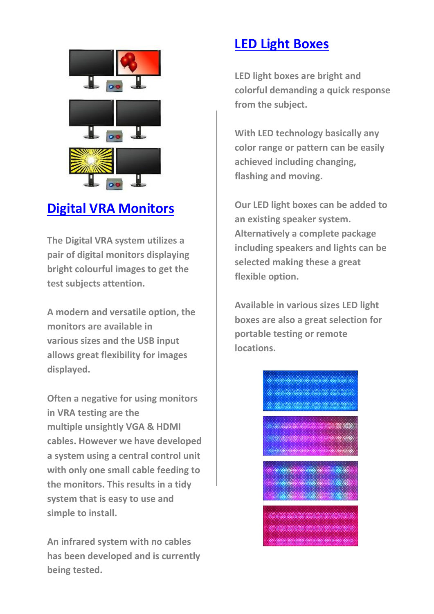

## **[Digital VRA Monitors](http://www.precision-acoustics.com.au/equipment/specialised-products/digital-vra)**

**The Digital VRA system utilizes a pair of digital monitors displaying bright colourful images to get the test subjects attention.**

**A modern and versatile option, the monitors are available in various sizes and the USB input allows great flexibility for images displayed.**

**Often a negative for using monitors in VRA testing are the multiple unsightly VGA & HDMI cables. However we have developed a system using a central control unit with only one small cable feeding to the monitors. This results in a tidy system that is easy to use and simple to install.**

**An infrared system with no cables has been developed and is currently being tested.**

### **[LED Light Boxes](http://www.precision-acoustics.com.au/equipment/specialised-products/led-light-boxes)**

**LED light boxes are bright and colorful demanding a quick response from the subject.**

**With LED technology basically any color range or pattern can be easily achieved including changing, flashing and moving.** 

**Our LED light boxes can be added to an existing speaker system. Alternatively a complete package including speakers and lights can be selected making these a great flexible option.**

**Available in various sizes LED light boxes are also a great selection for portable testing or remote locations.**